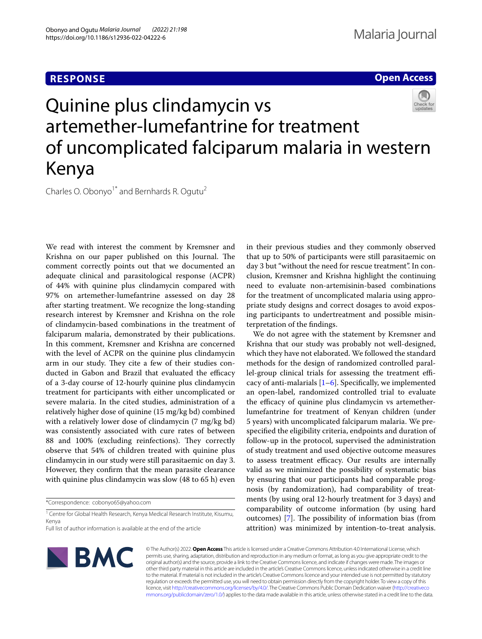## **RESPONSE**

### **Open Access**



# Quinine plus clindamycin vs artemether-lumefantrine for treatment of uncomplicated falciparum malaria in western Kenya

Charles O. Obonyo<sup>1\*</sup> and Bernhards R. Ogutu<sup>2</sup>

We read with interest the comment by Kremsner and Krishna on our paper published on this Journal. The comment correctly points out that we documented an adequate clinical and parasitological response (ACPR) of 44% with quinine plus clindamycin compared with 97% on artemether-lumefantrine assessed on day 28 after starting treatment. We recognize the long-standing research interest by Kremsner and Krishna on the role of clindamycin-based combinations in the treatment of falciparum malaria, demonstrated by their publications. In this comment, Kremsner and Krishna are concerned with the level of ACPR on the quinine plus clindamycin arm in our study. They cite a few of their studies conducted in Gabon and Brazil that evaluated the efficacy of a 3-day course of 12-hourly quinine plus clindamycin treatment for participants with either uncomplicated or severe malaria. In the cited studies, administration of a relatively higher dose of quinine (15 mg/kg bd) combined with a relatively lower dose of clindamycin (7 mg/kg bd) was consistently associated with cure rates of between 88 and 100% (excluding reinfections). They correctly observe that 54% of children treated with quinine plus clindamycin in our study were still parasitaemic on day 3. However, they confrm that the mean parasite clearance with quinine plus clindamycin was slow (48 to 65 h) even

\*Correspondence: cobonyo65@yahoo.com

<sup>1</sup> Centre for Global Health Research, Kenya Medical Research Institute, Kisumu, Kenya

Full list of author information is available at the end of the article



in their previous studies and they commonly observed that up to 50% of participants were still parasitaemic on day 3 but "without the need for rescue treatment". In conclusion, Kremsner and Krishna highlight the continuing need to evaluate non-artemisinin-based combinations for the treatment of uncomplicated malaria using appropriate study designs and correct dosages to avoid exposing participants to undertreatment and possible misinterpretation of the fndings.

We do not agree with the statement by Kremsner and Krishna that our study was probably not well-designed, which they have not elaborated. We followed the standard methods for the design of randomized controlled parallel-group clinical trials for assessing the treatment efficacy of anti-malarials  $[1-6]$  $[1-6]$ . Specifically, we implemented an open-label, randomized controlled trial to evaluate the efficacy of quinine plus clindamycin vs artemetherlumefantrine for treatment of Kenyan children (under 5 years) with uncomplicated falciparum malaria. We prespecifed the eligibility criteria, endpoints and duration of follow-up in the protocol, supervised the administration of study treatment and used objective outcome measures to assess treatment efficacy. Our results are internally valid as we minimized the possibility of systematic bias by ensuring that our participants had comparable prognosis (by randomization), had comparability of treatments (by using oral 12-hourly treatment for 3 days) and comparability of outcome information (by using hard outcomes)  $[7]$  $[7]$ . The possibility of information bias (from attrition) was minimized by intention-to-treat analysis.

© The Author(s) 2022. **Open Access** This article is licensed under a Creative Commons Attribution 4.0 International License, which permits use, sharing, adaptation, distribution and reproduction in any medium or format, as long as you give appropriate credit to the original author(s) and the source, provide a link to the Creative Commons licence, and indicate if changes were made. The images or other third party material in this article are included in the article's Creative Commons licence, unless indicated otherwise in a credit line to the material. If material is not included in the article's Creative Commons licence and your intended use is not permitted by statutory regulation or exceeds the permitted use, you will need to obtain permission directly from the copyright holder. To view a copy of this licence, visit [http://creativecommons.org/licenses/by/4.0/.](http://creativecommons.org/licenses/by/4.0/) The Creative Commons Public Domain Dedication waiver ([http://creativeco](http://creativecommons.org/publicdomain/zero/1.0/) [mmons.org/publicdomain/zero/1.0/](http://creativecommons.org/publicdomain/zero/1.0/)) applies to the data made available in this article, unless otherwise stated in a credit line to the data.